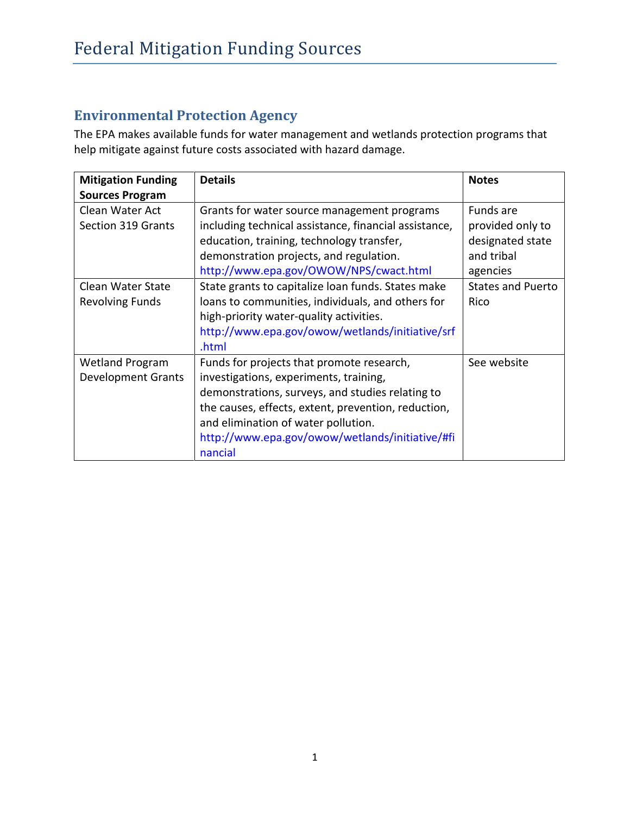# **Environmental Protection Agency**

The EPA makes available funds for water management and wetlands protection programs that help mitigate against future costs associated with hazard damage.

| <b>Mitigation Funding</b> | <b>Details</b>                                        | <b>Notes</b>             |
|---------------------------|-------------------------------------------------------|--------------------------|
| <b>Sources Program</b>    |                                                       |                          |
| Clean Water Act           | Grants for water source management programs           | Funds are                |
| <b>Section 319 Grants</b> | including technical assistance, financial assistance, | provided only to         |
|                           | education, training, technology transfer,             | designated state         |
|                           | demonstration projects, and regulation.               | and tribal               |
|                           | http://www.epa.gov/OWOW/NPS/cwact.html                | agencies                 |
| Clean Water State         | State grants to capitalize loan funds. States make    | <b>States and Puerto</b> |
| <b>Revolving Funds</b>    | loans to communities, individuals, and others for     | Rico                     |
|                           | high-priority water-quality activities.               |                          |
|                           | http://www.epa.gov/owow/wetlands/initiative/srf       |                          |
|                           | .html                                                 |                          |
| <b>Wetland Program</b>    | Funds for projects that promote research,             | See website              |
| <b>Development Grants</b> | investigations, experiments, training,                |                          |
|                           | demonstrations, surveys, and studies relating to      |                          |
|                           | the causes, effects, extent, prevention, reduction,   |                          |
|                           | and elimination of water pollution.                   |                          |
|                           | http://www.epa.gov/owow/wetlands/initiative/#fi       |                          |
|                           | nancial                                               |                          |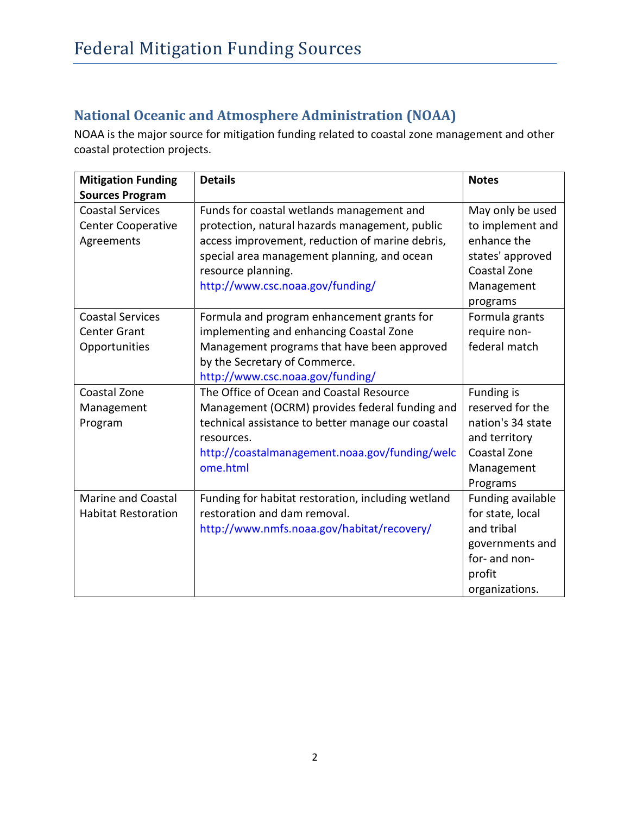# **National Oceanic and Atmosphere Administration (NOAA)**

NOAA is the major source for mitigation funding related to coastal zone management and other coastal protection projects.

| <b>Mitigation Funding</b>                                          | <b>Details</b>                                                                                                                                                                                                                                          | <b>Notes</b>                                                                                                      |
|--------------------------------------------------------------------|---------------------------------------------------------------------------------------------------------------------------------------------------------------------------------------------------------------------------------------------------------|-------------------------------------------------------------------------------------------------------------------|
| <b>Sources Program</b>                                             |                                                                                                                                                                                                                                                         |                                                                                                                   |
| <b>Coastal Services</b><br><b>Center Cooperative</b><br>Agreements | Funds for coastal wetlands management and<br>protection, natural hazards management, public<br>access improvement, reduction of marine debris,<br>special area management planning, and ocean<br>resource planning.<br>http://www.csc.noaa.gov/funding/ | May only be used<br>to implement and<br>enhance the<br>states' approved<br>Coastal Zone<br>Management<br>programs |
| <b>Coastal Services</b>                                            | Formula and program enhancement grants for                                                                                                                                                                                                              | Formula grants                                                                                                    |
| <b>Center Grant</b>                                                | implementing and enhancing Coastal Zone                                                                                                                                                                                                                 | require non-                                                                                                      |
| Opportunities                                                      | Management programs that have been approved<br>by the Secretary of Commerce.<br>http://www.csc.noaa.gov/funding/                                                                                                                                        | federal match                                                                                                     |
| Coastal Zone                                                       | The Office of Ocean and Coastal Resource                                                                                                                                                                                                                | Funding is                                                                                                        |
| Management                                                         | Management (OCRM) provides federal funding and                                                                                                                                                                                                          | reserved for the                                                                                                  |
| Program                                                            | technical assistance to better manage our coastal                                                                                                                                                                                                       | nation's 34 state                                                                                                 |
|                                                                    | resources.                                                                                                                                                                                                                                              | and territory                                                                                                     |
|                                                                    | http://coastalmanagement.noaa.gov/funding/welc                                                                                                                                                                                                          | Coastal Zone                                                                                                      |
|                                                                    | ome.html                                                                                                                                                                                                                                                | Management                                                                                                        |
|                                                                    |                                                                                                                                                                                                                                                         | Programs                                                                                                          |
| <b>Marine and Coastal</b>                                          | Funding for habitat restoration, including wetland                                                                                                                                                                                                      | Funding available                                                                                                 |
| <b>Habitat Restoration</b>                                         | restoration and dam removal.                                                                                                                                                                                                                            | for state, local                                                                                                  |
|                                                                    | http://www.nmfs.noaa.gov/habitat/recovery/                                                                                                                                                                                                              | and tribal                                                                                                        |
|                                                                    |                                                                                                                                                                                                                                                         | governments and                                                                                                   |
|                                                                    |                                                                                                                                                                                                                                                         | for- and non-                                                                                                     |
|                                                                    |                                                                                                                                                                                                                                                         | profit                                                                                                            |
|                                                                    |                                                                                                                                                                                                                                                         | organizations.                                                                                                    |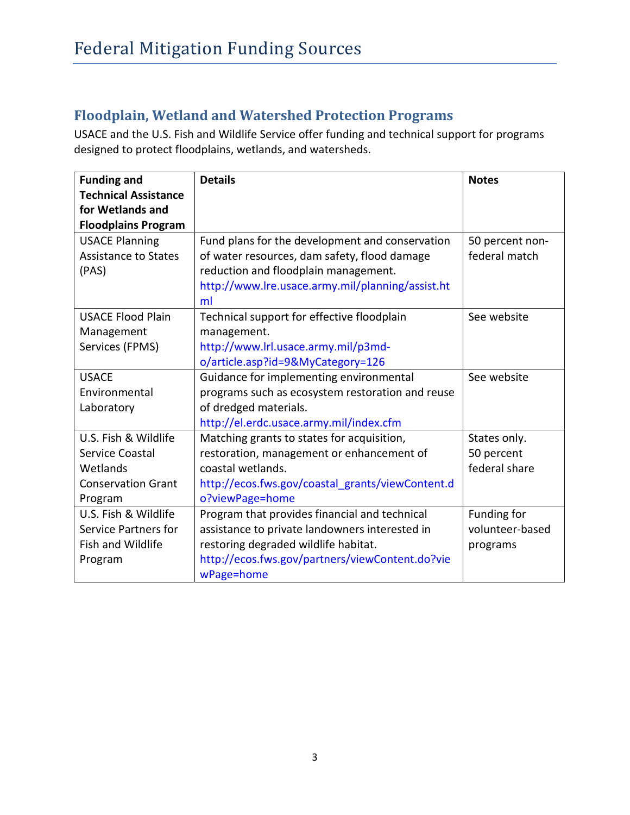# **Floodplain, Wetland and Watershed Protection Programs**

USACE and the U.S. Fish and Wildlife Service offer funding and technical support for programs designed to protect floodplains, wetlands, and watersheds.

| <b>Funding and</b>          | <b>Details</b>                                   | <b>Notes</b>    |
|-----------------------------|--------------------------------------------------|-----------------|
| <b>Technical Assistance</b> |                                                  |                 |
| for Wetlands and            |                                                  |                 |
| <b>Floodplains Program</b>  |                                                  |                 |
| <b>USACE Planning</b>       | Fund plans for the development and conservation  | 50 percent non- |
| <b>Assistance to States</b> | of water resources, dam safety, flood damage     | federal match   |
| (PAS)                       | reduction and floodplain management.             |                 |
|                             | http://www.lre.usace.army.mil/planning/assist.ht |                 |
|                             | ml                                               |                 |
| <b>USACE Flood Plain</b>    | Technical support for effective floodplain       | See website     |
| Management                  | management.                                      |                 |
| Services (FPMS)             | http://www.lrl.usace.army.mil/p3md-              |                 |
|                             | o/article.asp?id=9&MyCategory=126                |                 |
| <b>USACE</b>                | Guidance for implementing environmental          | See website     |
| Environmental               | programs such as ecosystem restoration and reuse |                 |
| Laboratory                  | of dredged materials.                            |                 |
|                             | http://el.erdc.usace.army.mil/index.cfm          |                 |
| U.S. Fish & Wildlife        | Matching grants to states for acquisition,       | States only.    |
| Service Coastal             | restoration, management or enhancement of        | 50 percent      |
| Wetlands                    | coastal wetlands.                                | federal share   |
| <b>Conservation Grant</b>   | http://ecos.fws.gov/coastal grants/viewContent.d |                 |
| Program                     | o?viewPage=home                                  |                 |
| U.S. Fish & Wildlife        | Program that provides financial and technical    | Funding for     |
| Service Partners for        | assistance to private landowners interested in   | volunteer-based |
| Fish and Wildlife           | restoring degraded wildlife habitat.             | programs        |
| Program                     | http://ecos.fws.gov/partners/viewContent.do?vie  |                 |
|                             | wPage=home                                       |                 |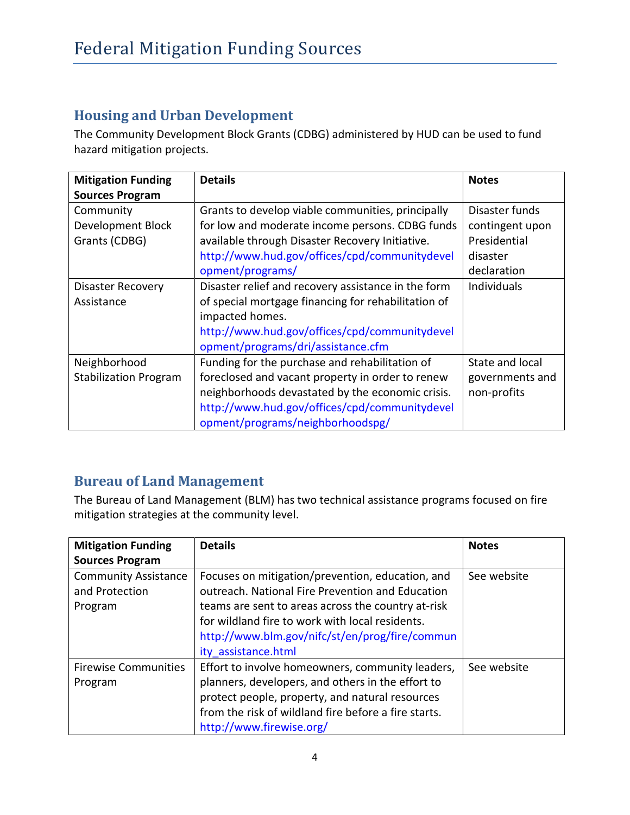# **Housing and Urban Development**

The Community Development Block Grants (CDBG) administered by HUD can be used to fund hazard mitigation projects.

| <b>Mitigation Funding</b>    | <b>Details</b>                                      | <b>Notes</b>    |
|------------------------------|-----------------------------------------------------|-----------------|
| <b>Sources Program</b>       |                                                     |                 |
| Community                    | Grants to develop viable communities, principally   | Disaster funds  |
| Development Block            | for low and moderate income persons. CDBG funds     | contingent upon |
| Grants (CDBG)                | available through Disaster Recovery Initiative.     | Presidential    |
|                              | http://www.hud.gov/offices/cpd/communitydevel       | disaster        |
|                              | opment/programs/                                    | declaration     |
| <b>Disaster Recovery</b>     | Disaster relief and recovery assistance in the form | Individuals     |
| Assistance                   | of special mortgage financing for rehabilitation of |                 |
|                              | impacted homes.                                     |                 |
|                              | http://www.hud.gov/offices/cpd/communitydevel       |                 |
|                              | opment/programs/dri/assistance.cfm                  |                 |
| Neighborhood                 | Funding for the purchase and rehabilitation of      | State and local |
| <b>Stabilization Program</b> | foreclosed and vacant property in order to renew    | governments and |
|                              | neighborhoods devastated by the economic crisis.    | non-profits     |
|                              | http://www.hud.gov/offices/cpd/communitydevel       |                 |
|                              | opment/programs/neighborhoodspg/                    |                 |

### **Bureau of Land Management**

The Bureau of Land Management (BLM) has two technical assistance programs focused on fire mitigation strategies at the community level.

| <b>Mitigation Funding</b>                     | <b>Details</b>                                                                                                                                                                                                                               | <b>Notes</b> |
|-----------------------------------------------|----------------------------------------------------------------------------------------------------------------------------------------------------------------------------------------------------------------------------------------------|--------------|
| <b>Sources Program</b>                        |                                                                                                                                                                                                                                              |              |
| <b>Community Assistance</b><br>and Protection | Focuses on mitigation/prevention, education, and<br>outreach. National Fire Prevention and Education                                                                                                                                         | See website  |
| Program                                       | teams are sent to areas across the country at-risk<br>for wildland fire to work with local residents.<br>http://www.blm.gov/nifc/st/en/prog/fire/commun<br>ity assistance.html                                                               |              |
| <b>Firewise Communities</b><br>Program        | Effort to involve homeowners, community leaders,<br>planners, developers, and others in the effort to<br>protect people, property, and natural resources<br>from the risk of wildland fire before a fire starts.<br>http://www.firewise.org/ | See website  |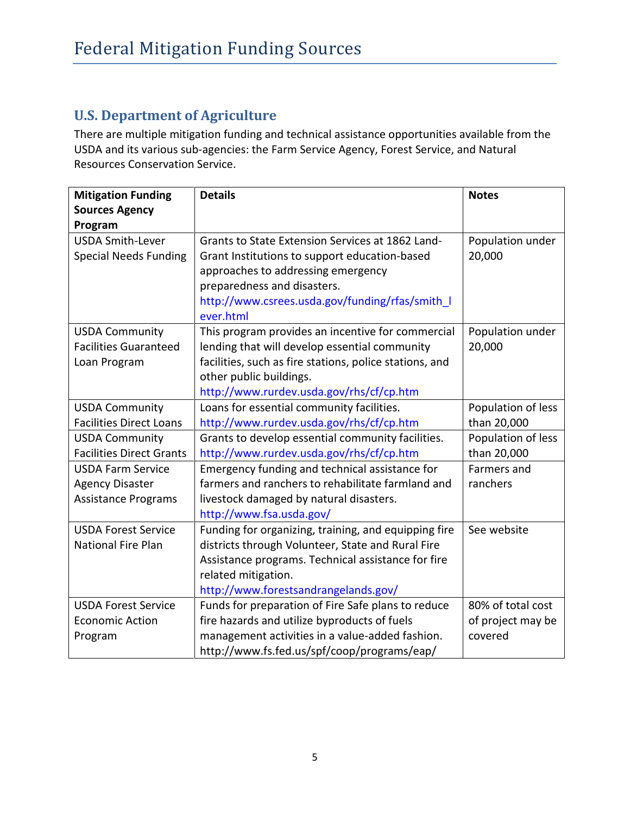# **U.S. Department of Agriculture**

There are multiple mitigation funding and technical assistance opportunities available from the USDA and its various sub-agencies: the Farm Service Agency, Forest Service, and Natural Resources Conservation Service.

| <b>Mitigation Funding</b>       | <b>Details</b>                                          | <b>Notes</b>       |
|---------------------------------|---------------------------------------------------------|--------------------|
| <b>Sources Agency</b>           |                                                         |                    |
| Program                         |                                                         |                    |
| <b>USDA Smith-Lever</b>         | Grants to State Extension Services at 1862 Land-        | Population under   |
| <b>Special Needs Funding</b>    | Grant Institutions to support education-based           | 20,000             |
|                                 | approaches to addressing emergency                      |                    |
|                                 | preparedness and disasters.                             |                    |
|                                 | http://www.csrees.usda.gov/funding/rfas/smith           |                    |
|                                 | ever.html                                               |                    |
| <b>USDA Community</b>           | This program provides an incentive for commercial       | Population under   |
| <b>Facilities Guaranteed</b>    | lending that will develop essential community           | 20,000             |
| Loan Program                    | facilities, such as fire stations, police stations, and |                    |
|                                 | other public buildings.                                 |                    |
|                                 | http://www.rurdev.usda.gov/rhs/cf/cp.htm                |                    |
| <b>USDA Community</b>           | Loans for essential community facilities.               | Population of less |
| <b>Facilities Direct Loans</b>  | http://www.rurdev.usda.gov/rhs/cf/cp.htm                | than 20,000        |
| <b>USDA Community</b>           | Grants to develop essential community facilities.       | Population of less |
| <b>Facilities Direct Grants</b> | http://www.rurdev.usda.gov/rhs/cf/cp.htm                | than 20,000        |
| <b>USDA Farm Service</b>        | Emergency funding and technical assistance for          | Farmers and        |
| <b>Agency Disaster</b>          | farmers and ranchers to rehabilitate farmland and       | ranchers           |
| <b>Assistance Programs</b>      | livestock damaged by natural disasters.                 |                    |
|                                 | http://www.fsa.usda.gov/                                |                    |
| <b>USDA Forest Service</b>      | Funding for organizing, training, and equipping fire    | See website        |
| <b>National Fire Plan</b>       | districts through Volunteer, State and Rural Fire       |                    |
|                                 | Assistance programs. Technical assistance for fire      |                    |
|                                 | related mitigation.                                     |                    |
|                                 | http://www.forestsandrangelands.gov/                    |                    |
| <b>USDA Forest Service</b>      | Funds for preparation of Fire Safe plans to reduce      | 80% of total cost  |
| <b>Economic Action</b>          | fire hazards and utilize byproducts of fuels            | of project may be  |
| Program                         | management activities in a value-added fashion.         | covered            |
|                                 | http://www.fs.fed.us/spf/coop/programs/eap/             |                    |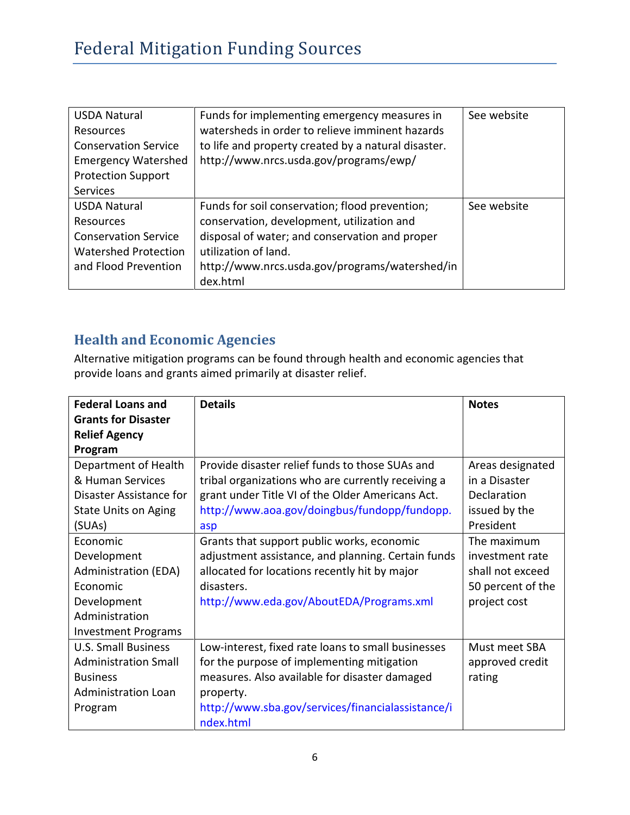| <b>USDA Natural</b>         | Funds for implementing emergency measures in        | See website |
|-----------------------------|-----------------------------------------------------|-------------|
| Resources                   | watersheds in order to relieve imminent hazards     |             |
| <b>Conservation Service</b> | to life and property created by a natural disaster. |             |
| <b>Emergency Watershed</b>  | http://www.nrcs.usda.gov/programs/ewp/              |             |
| <b>Protection Support</b>   |                                                     |             |
| <b>Services</b>             |                                                     |             |
| <b>USDA Natural</b>         | Funds for soil conservation; flood prevention;      | See website |
| Resources                   | conservation, development, utilization and          |             |
| <b>Conservation Service</b> | disposal of water; and conservation and proper      |             |
| <b>Watershed Protection</b> | utilization of land.                                |             |
| and Flood Prevention        | http://www.nrcs.usda.gov/programs/watershed/in      |             |
|                             | dex.html                                            |             |

# **Health and Economic Agencies**

Alternative mitigation programs can be found through health and economic agencies that provide loans and grants aimed primarily at disaster relief.

| <b>Federal Loans and</b>    | <b>Details</b>                                                 | <b>Notes</b>      |
|-----------------------------|----------------------------------------------------------------|-------------------|
| <b>Grants for Disaster</b>  |                                                                |                   |
| <b>Relief Agency</b>        |                                                                |                   |
| Program                     |                                                                |                   |
| Department of Health        | Provide disaster relief funds to those SUAs and                | Areas designated  |
| & Human Services            | tribal organizations who are currently receiving a             | in a Disaster     |
| Disaster Assistance for     | grant under Title VI of the Older Americans Act.               | Declaration       |
| <b>State Units on Aging</b> | http://www.aoa.gov/doingbus/fundopp/fundopp.                   | issued by the     |
| (SUAs)                      | asp                                                            | President         |
| Economic                    | Grants that support public works, economic                     | The maximum       |
| Development                 | adjustment assistance, and planning. Certain funds             | investment rate   |
| <b>Administration (EDA)</b> | allocated for locations recently hit by major                  | shall not exceed  |
| Economic                    | disasters.                                                     | 50 percent of the |
| Development                 | http://www.eda.gov/AboutEDA/Programs.xml                       | project cost      |
| Administration              |                                                                |                   |
| <b>Investment Programs</b>  |                                                                |                   |
| <b>U.S. Small Business</b>  | Low-interest, fixed rate loans to small businesses             | Must meet SBA     |
| <b>Administration Small</b> | for the purpose of implementing mitigation                     | approved credit   |
| <b>Business</b>             | measures. Also available for disaster damaged                  | rating            |
| <b>Administration Loan</b>  | property.                                                      |                   |
| Program                     | http://www.sba.gov/services/financialassistance/i<br>ndex.html |                   |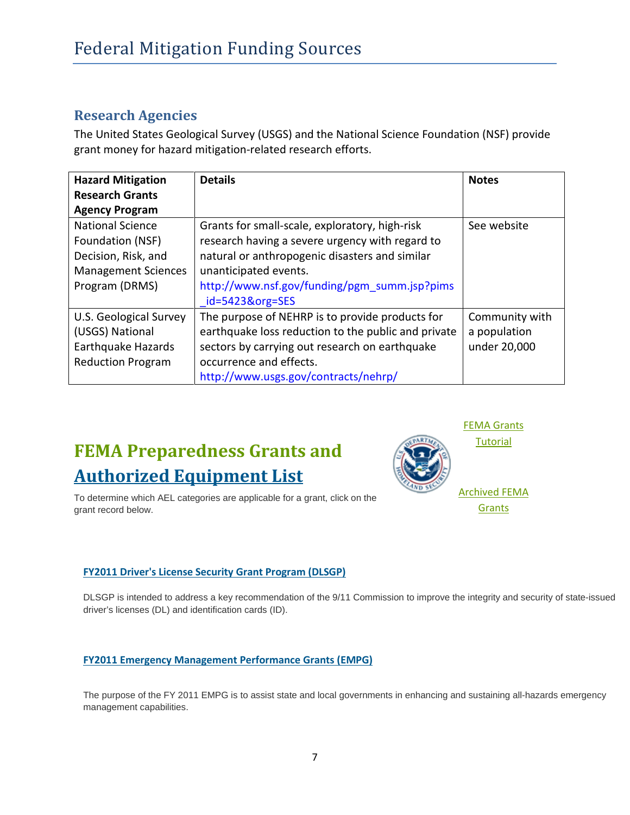### **Research Agencies**

The United States Geological Survey (USGS) and the National Science Foundation (NSF) provide grant money for hazard mitigation-related research efforts.

| <b>Hazard Mitigation</b>   | <b>Details</b>                                      | <b>Notes</b>   |
|----------------------------|-----------------------------------------------------|----------------|
| <b>Research Grants</b>     |                                                     |                |
| <b>Agency Program</b>      |                                                     |                |
| <b>National Science</b>    | Grants for small-scale, exploratory, high-risk      | See website    |
| Foundation (NSF)           | research having a severe urgency with regard to     |                |
| Decision, Risk, and        | natural or anthropogenic disasters and similar      |                |
| <b>Management Sciences</b> | unanticipated events.                               |                |
| Program (DRMS)             | http://www.nsf.gov/funding/pgm_summ.jsp?pims        |                |
|                            | $id = 5423&org = SES$                               |                |
| U.S. Geological Survey     | The purpose of NEHRP is to provide products for     | Community with |
| (USGS) National            | earthquake loss reduction to the public and private | a population   |
| Earthquake Hazards         | sectors by carrying out research on earthquake      | under 20,000   |
| <b>Reduction Program</b>   | occurrence and effects.                             |                |
|                            | http://www.usgs.gov/contracts/nehrp/                |                |

# **FEMA Preparedness Grants and [Authorized Equipment List](https://www.rkb.us/mel.cfm?subtypeid=549)**

To determine which AEL categories are applicable for a grant, click on the grant record below.

### **[FY2011 Driver's License Security Grant Program \(DLSGP\)](https://www.rkb.us/contentdetail.cfm?content_id=258693&GetAELSELCats=1)**

DLSGP is intended to address a key recommendation of the 9/11 Commission to improve the integrity and security of state-issued driver's licenses (DL) and identification cards (ID).

### **[FY2011 Emergency Management Performance Grants \(EMPG\)](https://www.rkb.us/contentdetail.cfm?content_id=258810&GetAELSELCats=1)**

The purpose of the FY 2011 EMPG is to assist state and local governments in enhancing and sustaining all-hazards emergency management capabilities.



[FEMA Grants](http://www.rkb.us/tutorial/RKB_Tutorial.pdf#page=17) 

**[Tutorial](http://www.rkb.us/tutorial/RKB_Tutorial.pdf#page=17)** 

[Archived FEMA](https://www.rkb.us/archived_fema_grants.cfm)  **[Grants](https://www.rkb.us/archived_fema_grants.cfm)**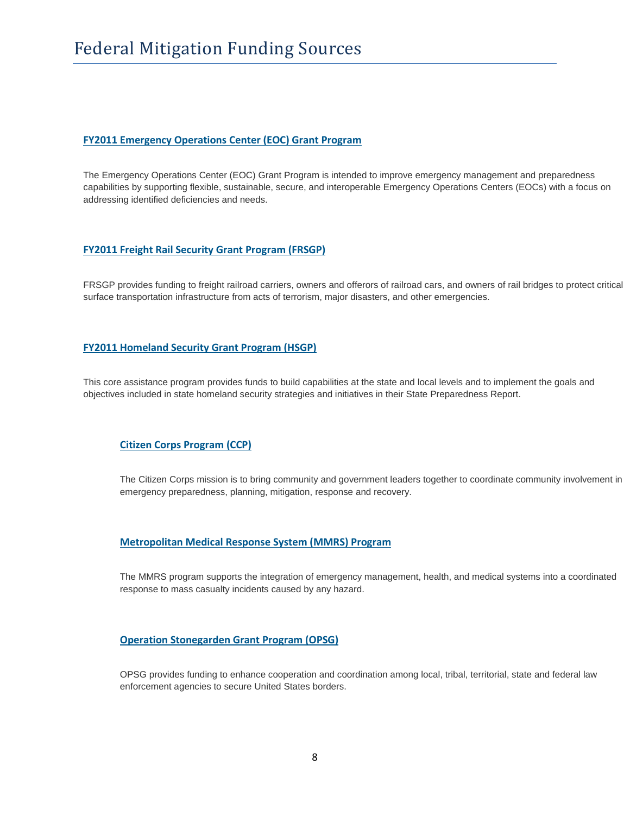#### **[FY2011 Emergency Operations Center \(EOC\) Grant Program](https://www.rkb.us/contentdetail.cfm?content_id=258830&GetAELSELCats=1)**

The Emergency Operations Center (EOC) Grant Program is intended to improve emergency management and preparedness capabilities by supporting flexible, sustainable, secure, and interoperable Emergency Operations Centers (EOCs) with a focus on addressing identified deficiencies and needs.

#### **[FY2011 Freight Rail Security Grant Program \(FRSGP\)](https://www.rkb.us/contentdetail.cfm?content_id=258850&GetAELSELCats=1)**

FRSGP provides funding to freight railroad carriers, owners and offerors of railroad cars, and owners of rail bridges to protect critical surface transportation infrastructure from acts of terrorism, major disasters, and other emergencies.

#### **[FY2011 Homeland Security Grant Program \(HSGP\)](https://www.rkb.us/contentdetail.cfm?content_id=258890&GetAELSELCats=1)**

This core assistance program provides funds to build capabilities at the state and local levels and to implement the goals and objectives included in state homeland security strategies and initiatives in their State Preparedness Report.

### **[Citizen Corps Program \(CCP\)](https://www.rkb.us/contentdetail.cfm?content_id=258970&GetAELSELCats=1)**

The Citizen Corps mission is to bring community and government leaders together to coordinate community involvement in emergency preparedness, planning, mitigation, response and recovery.

#### **[Metropolitan Medical Response System \(MMRS\) Program](https://www.rkb.us/contentdetail.cfm?content_id=258951&GetAELSELCats=1)**

The MMRS program supports the integration of emergency management, health, and medical systems into a coordinated response to mass casualty incidents caused by any hazard.

#### **[Operation Stonegarden Grant Program \(OPSG\)](https://www.rkb.us/contentdetail.cfm?content_id=258950&GetAELSELCats=1)**

OPSG provides funding to enhance cooperation and coordination among local, tribal, territorial, state and federal law enforcement agencies to secure United States borders.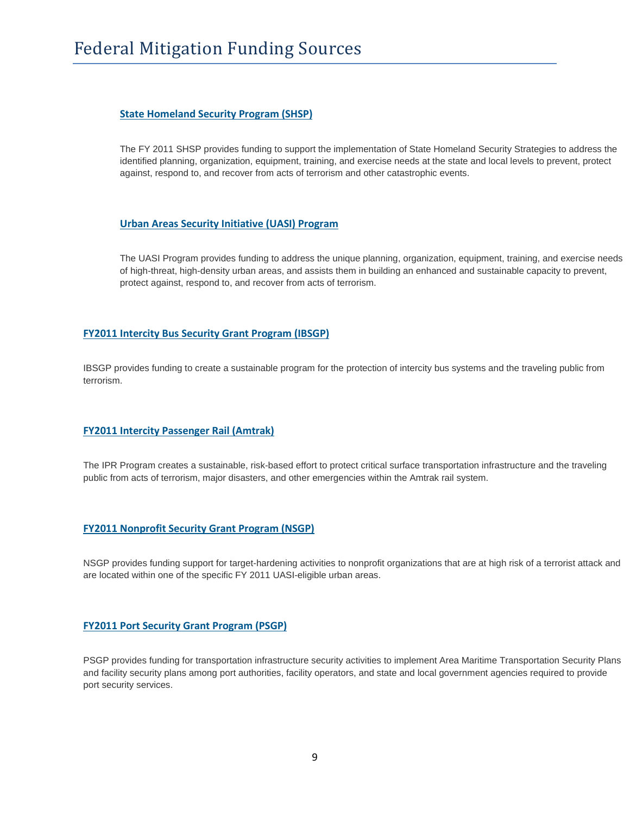#### **[State Homeland Security Program \(SHSP\)](https://www.rkb.us/contentdetail.cfm?content_id=258910&GetAELSELCats=1)**

The FY 2011 SHSP provides funding to support the implementation of State Homeland Security Strategies to address the identified planning, organization, equipment, training, and exercise needs at the state and local levels to prevent, protect against, respond to, and recover from acts of terrorism and other catastrophic events.

#### **[Urban Areas Security Initiative \(UASI\) Program](https://www.rkb.us/contentdetail.cfm?content_id=258930&GetAELSELCats=1)**

The UASI Program provides funding to address the unique planning, organization, equipment, training, and exercise needs of high-threat, high-density urban areas, and assists them in building an enhanced and sustainable capacity to prevent, protect against, respond to, and recover from acts of terrorism.

#### **[FY2011 Intercity Bus Security Grant Program \(IBSGP\)](https://www.rkb.us/contentdetail.cfm?content_id=258971&GetAELSELCats=1)**

IBSGP provides funding to create a sustainable program for the protection of intercity bus systems and the traveling public from terrorism.

#### **[FY2011 Intercity Passenger Rail \(Amtrak\)](https://www.rkb.us/contentdetail.cfm?content_id=258972&GetAELSELCats=1)**

The IPR Program creates a sustainable, risk-based effort to protect critical surface transportation infrastructure and the traveling public from acts of terrorism, major disasters, and other emergencies within the Amtrak rail system.

#### **[FY2011 Nonprofit Security Grant Program \(NSGP\)](https://www.rkb.us/contentdetail.cfm?content_id=258990&GetAELSELCats=1)**

NSGP provides funding support for target-hardening activities to nonprofit organizations that are at high risk of a terrorist attack and are located within one of the specific FY 2011 UASI-eligible urban areas.

#### **[FY2011 Port Security Grant Program \(PSGP\)](https://www.rkb.us/contentdetail.cfm?content_id=258991&GetAELSELCats=1)**

PSGP provides funding for transportation infrastructure security activities to implement Area Maritime Transportation Security Plans and facility security plans among port authorities, facility operators, and state and local government agencies required to provide port security services.